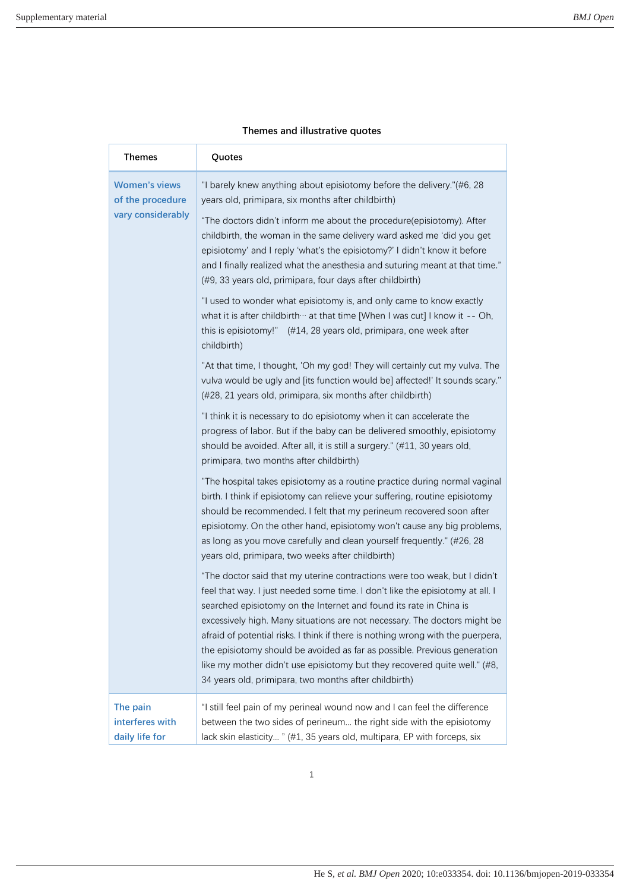| <b>Themes</b>                                 | Quotes                                                                                                                                                                                                                                                                                                                                                                                                                                                                                                                                                                                                             |
|-----------------------------------------------|--------------------------------------------------------------------------------------------------------------------------------------------------------------------------------------------------------------------------------------------------------------------------------------------------------------------------------------------------------------------------------------------------------------------------------------------------------------------------------------------------------------------------------------------------------------------------------------------------------------------|
| <b>Women's views</b><br>of the procedure      | "I barely knew anything about episiotomy before the delivery."(#6, 28<br>years old, primipara, six months after childbirth)                                                                                                                                                                                                                                                                                                                                                                                                                                                                                        |
| vary considerably                             | "The doctors didn't inform me about the procedure(episiotomy). After<br>childbirth, the woman in the same delivery ward asked me 'did you get<br>episiotomy' and I reply 'what's the episiotomy?' I didn't know it before<br>and I finally realized what the anesthesia and suturing meant at that time."<br>(#9, 33 years old, primipara, four days after childbirth)                                                                                                                                                                                                                                             |
|                                               | "I used to wonder what episiotomy is, and only came to know exactly<br>what it is after childbirth ··· at that time [When I was cut] I know it -- Oh,<br>this is episiotomy!" (#14, 28 years old, primipara, one week after<br>childbirth)                                                                                                                                                                                                                                                                                                                                                                         |
|                                               | "At that time, I thought, 'Oh my god! They will certainly cut my vulva. The<br>vulva would be ugly and [its function would be] affected!' It sounds scary."<br>(#28, 21 years old, primipara, six months after childbirth)                                                                                                                                                                                                                                                                                                                                                                                         |
|                                               | "I think it is necessary to do episiotomy when it can accelerate the<br>progress of labor. But if the baby can be delivered smoothly, episiotomy<br>should be avoided. After all, it is still a surgery." (#11, 30 years old,<br>primipara, two months after childbirth)                                                                                                                                                                                                                                                                                                                                           |
|                                               | "The hospital takes episiotomy as a routine practice during normal vaginal<br>birth. I think if episiotomy can relieve your suffering, routine episiotomy<br>should be recommended. I felt that my perineum recovered soon after<br>episiotomy. On the other hand, episiotomy won't cause any big problems,<br>as long as you move carefully and clean yourself frequently." (#26, 28<br>years old, primipara, two weeks after childbirth)                                                                                                                                                                         |
|                                               | "The doctor said that my uterine contractions were too weak, but I didn't<br>feel that way. I just needed some time. I don't like the episiotomy at all. I<br>searched episiotomy on the Internet and found its rate in China is<br>excessively high. Many situations are not necessary. The doctors might be<br>afraid of potential risks. I think if there is nothing wrong with the puerpera,<br>the episiotomy should be avoided as far as possible. Previous generation<br>like my mother didn't use episiotomy but they recovered quite well." (#8,<br>34 years old, primipara, two months after childbirth) |
| The pain<br>interferes with<br>daily life for | "I still feel pain of my perineal wound now and I can feel the difference<br>between the two sides of perineum the right side with the episiotomy<br>lack skin elasticity " (#1, 35 years old, multipara, EP with forceps, six                                                                                                                                                                                                                                                                                                                                                                                     |

## **Themes and illustrative quotes**

1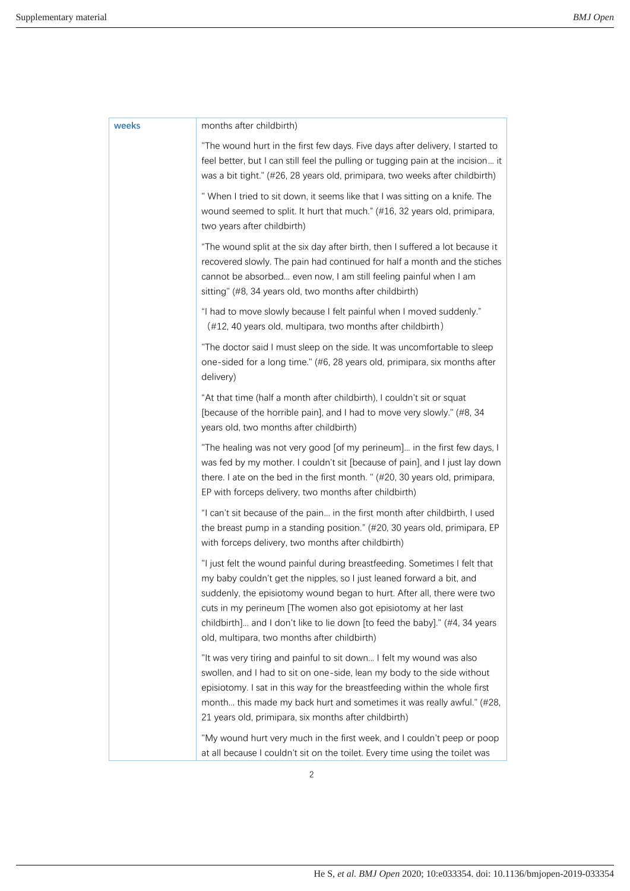| weeks | months after childbirth)                                                                                                                                                                                                                                                                                                                                                                                                        |
|-------|---------------------------------------------------------------------------------------------------------------------------------------------------------------------------------------------------------------------------------------------------------------------------------------------------------------------------------------------------------------------------------------------------------------------------------|
|       | "The wound hurt in the first few days. Five days after delivery, I started to<br>feel better, but I can still feel the pulling or tugging pain at the incision it<br>was a bit tight." (#26, 28 years old, primipara, two weeks after childbirth)                                                                                                                                                                               |
|       | " When I tried to sit down, it seems like that I was sitting on a knife. The<br>wound seemed to split. It hurt that much." (#16, 32 years old, primipara,<br>two years after childbirth)                                                                                                                                                                                                                                        |
|       | "The wound split at the six day after birth, then I suffered a lot because it<br>recovered slowly. The pain had continued for half a month and the stiches<br>cannot be absorbed even now, I am still feeling painful when I am<br>sitting" (#8, 34 years old, two months after childbirth)                                                                                                                                     |
|       | "I had to move slowly because I felt painful when I moved suddenly."<br>(#12, 40 years old, multipara, two months after childbirth)                                                                                                                                                                                                                                                                                             |
|       | "The doctor said I must sleep on the side. It was uncomfortable to sleep<br>one-sided for a long time." (#6, 28 years old, primipara, six months after<br>delivery)                                                                                                                                                                                                                                                             |
|       | "At that time (half a month after childbirth), I couldn't sit or squat<br>[because of the horrible pain], and I had to move very slowly." (#8, 34<br>years old, two months after childbirth)                                                                                                                                                                                                                                    |
|       | "The healing was not very good [of my perineum] in the first few days, I<br>was fed by my mother. I couldn't sit [because of pain], and I just lay down<br>there. I ate on the bed in the first month. " (#20, 30 years old, primipara,<br>EP with forceps delivery, two months after childbirth)                                                                                                                               |
|       | "I can't sit because of the pain in the first month after childbirth, I used<br>the breast pump in a standing position." (#20, 30 years old, primipara, EP<br>with forceps delivery, two months after childbirth)                                                                                                                                                                                                               |
|       | "I just felt the wound painful during breastfeeding. Sometimes I felt that<br>my baby couldn't get the nipples, so I just leaned forward a bit, and<br>suddenly, the episiotomy wound began to hurt. After all, there were two<br>cuts in my perineum [The women also got episiotomy at her last<br>childbirth] and I don't like to lie down [to feed the baby]." (#4, 34 years<br>old, multipara, two months after childbirth) |
|       | "It was very tiring and painful to sit down I felt my wound was also<br>swollen, and I had to sit on one-side, lean my body to the side without<br>episiotomy. I sat in this way for the breastfeeding within the whole first<br>month this made my back hurt and sometimes it was really awful." (#28,<br>21 years old, primipara, six months after childbirth)                                                                |
|       | "My wound hurt very much in the first week, and I couldn't peep or poop<br>at all because I couldn't sit on the toilet. Every time using the toilet was                                                                                                                                                                                                                                                                         |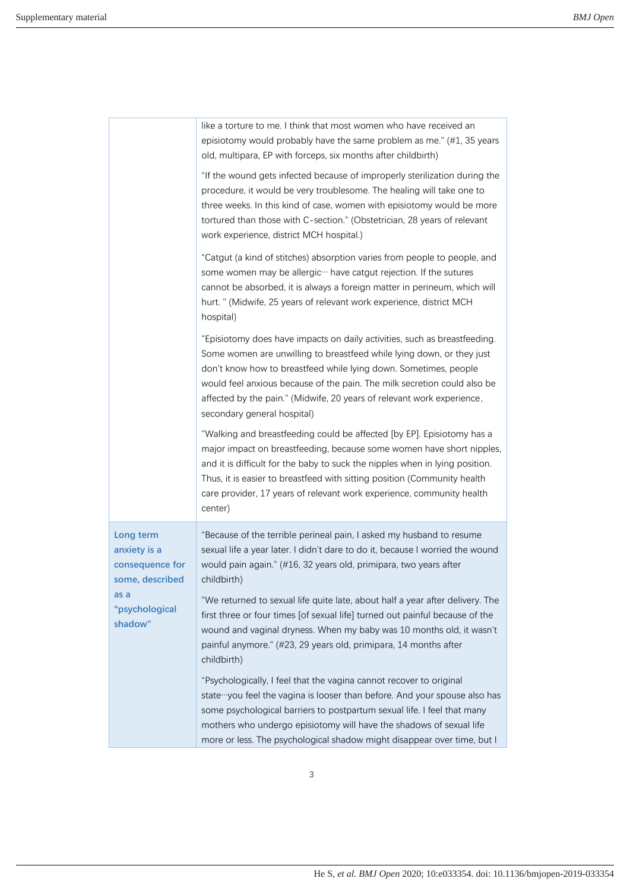|                                                                                                      | like a torture to me. I think that most women who have received an<br>episiotomy would probably have the same problem as me." (#1, 35 years<br>old, multipara, EP with forceps, six months after childbirth)                                                                                                                                                                                                |
|------------------------------------------------------------------------------------------------------|-------------------------------------------------------------------------------------------------------------------------------------------------------------------------------------------------------------------------------------------------------------------------------------------------------------------------------------------------------------------------------------------------------------|
|                                                                                                      | "If the wound gets infected because of improperly sterilization during the<br>procedure, it would be very troublesome. The healing will take one to<br>three weeks. In this kind of case, women with episiotomy would be more<br>tortured than those with C-section." (Obstetrician, 28 years of relevant<br>work experience, district MCH hospital.)                                                       |
|                                                                                                      | "Catgut (a kind of stitches) absorption varies from people to people, and<br>some women may be allergic ··· have catgut rejection. If the sutures<br>cannot be absorbed, it is always a foreign matter in perineum, which will<br>hurt. " (Midwife, 25 years of relevant work experience, district MCH<br>hospital)                                                                                         |
|                                                                                                      | "Episiotomy does have impacts on daily activities, such as breastfeeding.<br>Some women are unwilling to breastfeed while lying down, or they just<br>don't know how to breastfeed while lying down. Sometimes, people<br>would feel anxious because of the pain. The milk secretion could also be<br>affected by the pain." (Midwife, 20 years of relevant work experience,<br>secondary general hospital) |
|                                                                                                      | "Walking and breastfeeding could be affected [by EP]. Episiotomy has a<br>major impact on breastfeeding, because some women have short nipples,<br>and it is difficult for the baby to suck the nipples when in lying position.<br>Thus, it is easier to breastfeed with sitting position (Community health<br>care provider, 17 years of relevant work experience, community health<br>center)             |
| Long term<br>anxiety is a<br>consequence for<br>some, described<br>as a<br>"psychological<br>shadow" | "Because of the terrible perineal pain, I asked my husband to resume<br>sexual life a year later. I didn't dare to do it, because I worried the wound<br>would pain again." (#16, 32 years old, primipara, two years after<br>childbirth)                                                                                                                                                                   |
|                                                                                                      | "We returned to sexual life quite late, about half a year after delivery. The<br>first three or four times [of sexual life] turned out painful because of the<br>wound and vaginal dryness. When my baby was 10 months old, it wasn't<br>painful anymore." (#23, 29 years old, primipara, 14 months after<br>childbirth)                                                                                    |
|                                                                                                      | "Psychologically, I feel that the vagina cannot recover to original<br>state you feel the vagina is looser than before. And your spouse also has<br>some psychological barriers to postpartum sexual life. I feel that many<br>mothers who undergo episiotomy will have the shadows of sexual life<br>more or less. The psychological shadow might disappear over time, but I                               |

3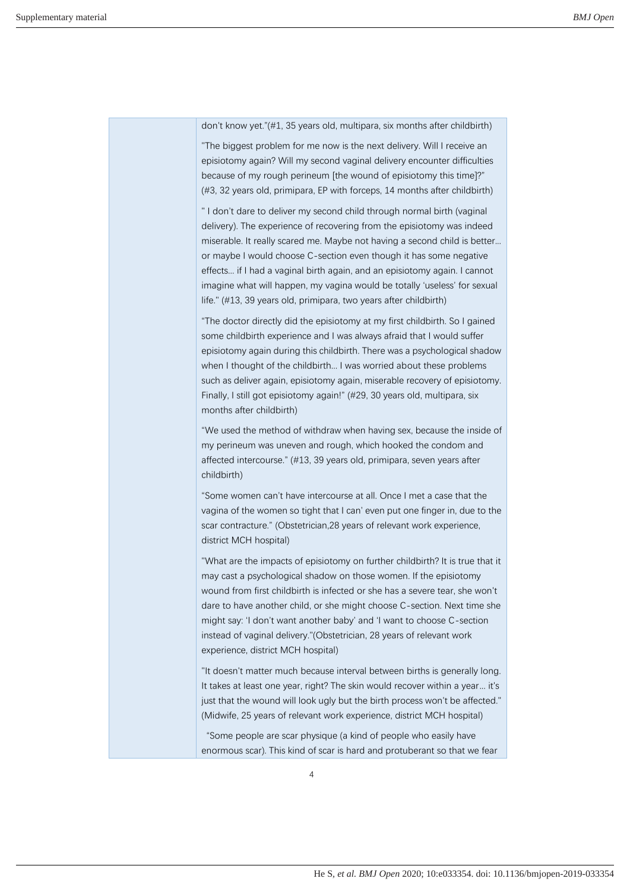don't know yet."(#1, 35 years old, multipara, six months after childbirth)

"The biggest problem for me now is the next delivery. Will I receive an episiotomy again? Will my second vaginal delivery encounter difficulties because of my rough perineum [the wound of episiotomy this time]?" (#3, 32 years old, primipara, EP with forceps, 14 months after childbirth)

" I don't dare to deliver my second child through normal birth (vaginal delivery). The experience of recovering from the episiotomy was indeed miserable. It really scared me. Maybe not having a second child is better... or maybe I would choose C-section even though it has some negative effects... if I had a vaginal birth again, and an episiotomy again. I cannot imagine what will happen, my vagina would be totally 'useless' for sexual life." (#13, 39 years old, primipara, two years after childbirth)

"The doctor directly did the episiotomy at my first childbirth. So I gained some childbirth experience and I was always afraid that I would suffer episiotomy again during this childbirth. There was a psychological shadow when I thought of the childbirth... I was worried about these problems such as deliver again, episiotomy again, miserable recovery of episiotomy. Finally, I still got episiotomy again!" (#29, 30 years old, multipara, six months after childbirth)

"We used the method of withdraw when having sex, because the inside of my perineum was uneven and rough, which hooked the condom and affected intercourse." (#13, 39 years old, primipara, seven years after childbirth)

"Some women can't have intercourse at all. Once I met a case that the vagina of the women so tight that I can' even put one finger in, due to the scar contracture." (Obstetrician,28 years of relevant work experience, district MCH hospital)

"What are the impacts of episiotomy on further childbirth? It is true that it may cast a psychological shadow on those women. If the episiotomy wound from first childbirth is infected or she has a severe tear, she won't dare to have another child, or she might choose C-section. Next time she might say: 'I don't want another baby' and 'I want to choose C-section instead of vaginal delivery."(Obstetrician, 28 years of relevant work experience, district MCH hospital)

"It doesn't matter much because interval between births is generally long. It takes at least one year, right? The skin would recover within a year... it's just that the wound will look ugly but the birth process won't be affected." (Midwife, 25 years of relevant work experience, district MCH hospital)

"Some people are scar physique (a kind of people who easily have enormous scar). This kind of scar is hard and protuberant so that we fear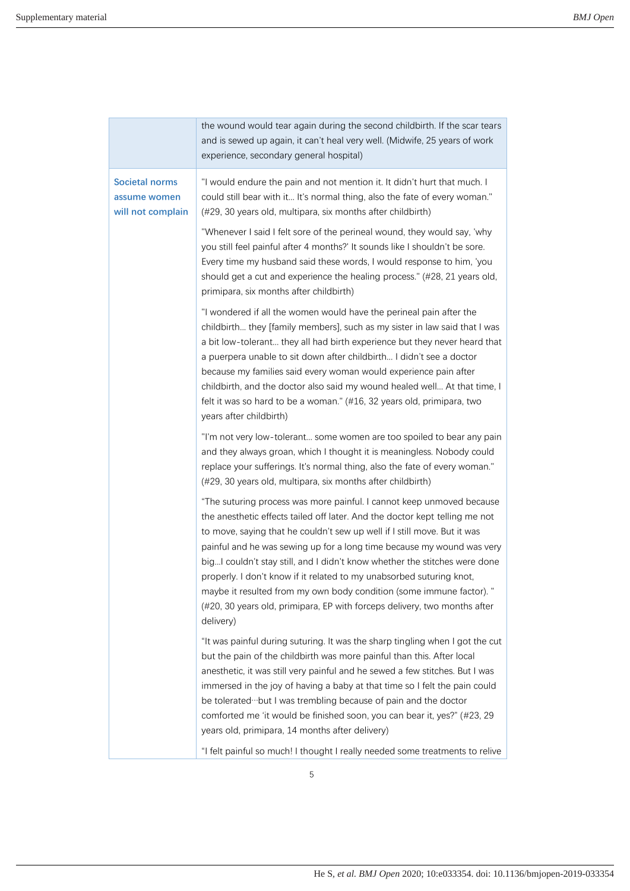|  |                                                            | the wound would tear again during the second childbirth. If the scar tears<br>and is sewed up again, it can't heal very well. (Midwife, 25 years of work<br>experience, secondary general hospital)                                                                                                                                                                                                                                                                                                                                                                                                                                 |
|--|------------------------------------------------------------|-------------------------------------------------------------------------------------------------------------------------------------------------------------------------------------------------------------------------------------------------------------------------------------------------------------------------------------------------------------------------------------------------------------------------------------------------------------------------------------------------------------------------------------------------------------------------------------------------------------------------------------|
|  | <b>Societal norms</b><br>assume women<br>will not complain | "I would endure the pain and not mention it. It didn't hurt that much. I<br>could still bear with it It's normal thing, also the fate of every woman."<br>(#29, 30 years old, multipara, six months after childbirth)                                                                                                                                                                                                                                                                                                                                                                                                               |
|  |                                                            | "Whenever I said I felt sore of the perineal wound, they would say, 'why<br>you still feel painful after 4 months?' It sounds like I shouldn't be sore.<br>Every time my husband said these words, I would response to him, 'you<br>should get a cut and experience the healing process." (#28, 21 years old,<br>primipara, six months after childbirth)                                                                                                                                                                                                                                                                            |
|  |                                                            | "I wondered if all the women would have the perineal pain after the<br>childbirth they [family members], such as my sister in law said that I was<br>a bit low-tolerant they all had birth experience but they never heard that<br>a puerpera unable to sit down after childbirth I didn't see a doctor<br>because my families said every woman would experience pain after<br>childbirth, and the doctor also said my wound healed well At that time, I<br>felt it was so hard to be a woman." (#16, 32 years old, primipara, two<br>years after childbirth)                                                                       |
|  |                                                            | "I'm not very low-tolerant some women are too spoiled to bear any pain<br>and they always groan, which I thought it is meaningless. Nobody could<br>replace your sufferings. It's normal thing, also the fate of every woman."<br>(#29, 30 years old, multipara, six months after childbirth)                                                                                                                                                                                                                                                                                                                                       |
|  |                                                            | "The suturing process was more painful. I cannot keep unmoved because<br>the anesthetic effects tailed off later. And the doctor kept telling me not<br>to move, saying that he couldn't sew up well if I still move. But it was<br>painful and he was sewing up for a long time because my wound was very<br>big I couldn't stay still, and I didn't know whether the stitches were done<br>properly. I don't know if it related to my unabsorbed suturing knot,<br>maybe it resulted from my own body condition (some immune factor). "<br>(#20, 30 years old, primipara, EP with forceps delivery, two months after<br>delivery) |
|  |                                                            | "It was painful during suturing. It was the sharp tingling when I got the cut<br>but the pain of the childbirth was more painful than this. After local<br>anesthetic, it was still very painful and he sewed a few stitches. But I was<br>immersed in the joy of having a baby at that time so I felt the pain could<br>be tolerated but I was trembling because of pain and the doctor<br>comforted me 'it would be finished soon, you can bear it, yes?" (#23, 29<br>years old, primipara, 14 months after delivery)                                                                                                             |
|  |                                                            | "I felt painful so much! I thought I really needed some treatments to relive                                                                                                                                                                                                                                                                                                                                                                                                                                                                                                                                                        |